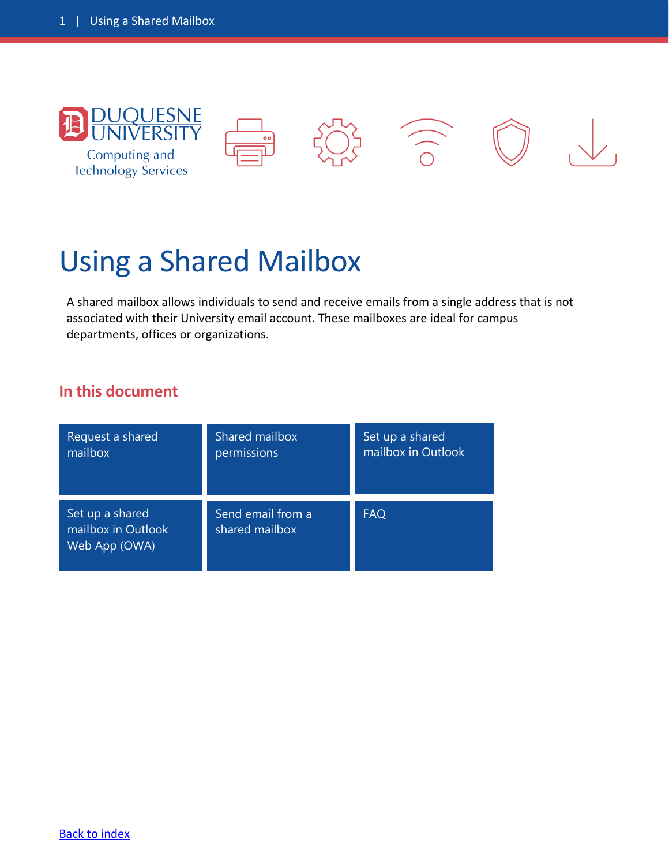

# Using a Shared Mailbox

<span id="page-0-0"></span>A shared mailbox allows individuals to send and receive emails from a single address that is not associated with their University email account. These mailboxes are ideal for campus departments, offices or organizations.

#### **In this document**

| Request a shared                                       | Shared mailbox                      | Set up a shared    |
|--------------------------------------------------------|-------------------------------------|--------------------|
| mailbox                                                | permissions                         | mailbox in Outlook |
| Set up a shared<br>mailbox in Outlook<br>Web App (OWA) | Send email from a<br>shared mailbox | <b>FAQ</b>         |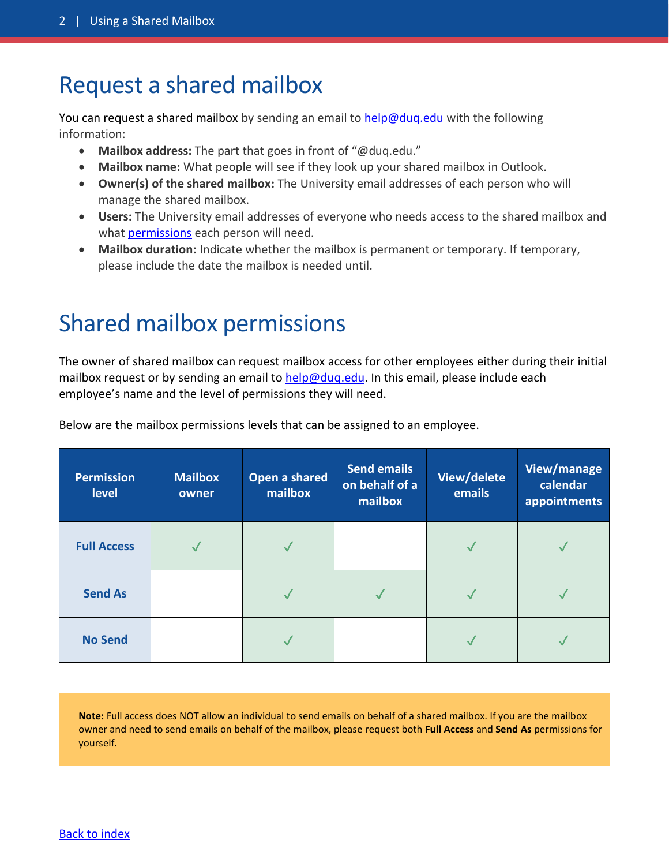### <span id="page-1-0"></span>Request a shared mailbox

You can request a shared mailbox by sending an email to [help@duq.edu](mailto:help@duq.edu) with the following information:

- **Mailbox address:** The part that goes in front of "@duq.edu."
- **Mailbox name:** What people will see if they look up your shared mailbox in Outlook.
- **Owner(s) of the shared mailbox:** The University email addresses of each person who will manage the shared mailbox.
- **Users:** The University email addresses of everyone who needs access to the shared mailbox and what [permissions](#page-1-1) each person will need.
- **Mailbox duration:** Indicate whether the mailbox is permanent or temporary. If temporary, please include the date the mailbox is needed until.

### <span id="page-1-1"></span>Shared mailbox permissions

The owner of shared mailbox can request mailbox access for other employees either during their initial mailbox request or by sending an email to [help@duq.edu.](mailto:help@duq.edu) In this email, please include each employee's name and the level of permissions they will need.

| <b>Permission</b><br>level | <b>Mailbox</b><br>owner | Open a shared<br>mailbox | <b>Send emails</b><br>on behalf of a<br>mailbox | View/delete<br>emails | View/manage<br>calendar<br>appointments |
|----------------------------|-------------------------|--------------------------|-------------------------------------------------|-----------------------|-----------------------------------------|
| <b>Full Access</b>         |                         |                          |                                                 |                       |                                         |
| <b>Send As</b>             |                         |                          |                                                 |                       |                                         |
| <b>No Send</b>             |                         |                          |                                                 |                       |                                         |

Below are the mailbox permissions levels that can be assigned to an employee.

**Note:** Full access does NOT allow an individual to send emails on behalf of a shared mailbox. If you are the mailbox owner and need to send emails on behalf of the mailbox, please request both **Full Access** and **Send As** permissions for yourself.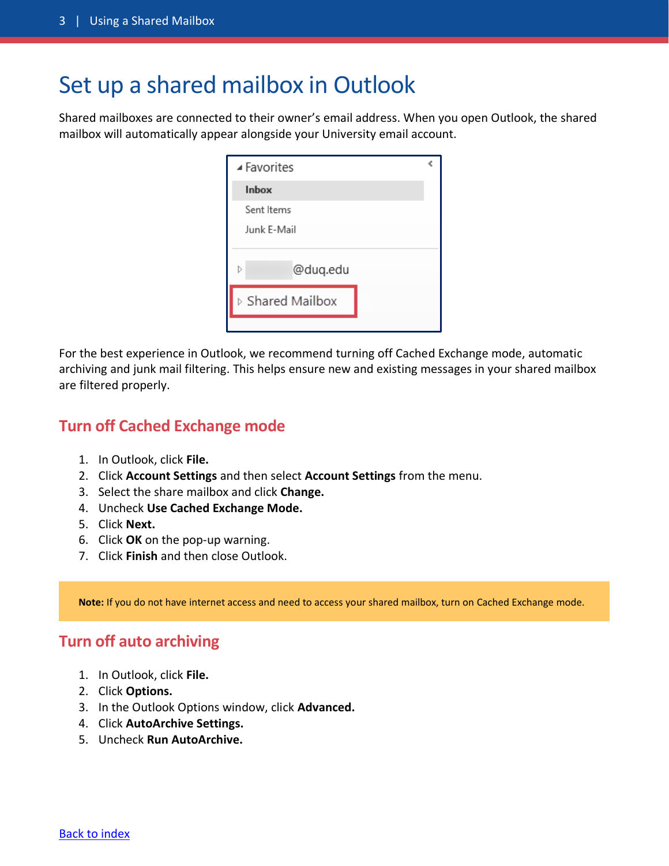### <span id="page-2-0"></span>Set up a shared mailbox in Outlook

Shared mailboxes are connected to their owner's email address. When you open Outlook, the shared mailbox will automatically appear alongside your University email account.

| ▲ Favorites      |  |  |  |
|------------------|--|--|--|
| Inbox            |  |  |  |
| Sent Items       |  |  |  |
| Junk E-Mail      |  |  |  |
|                  |  |  |  |
| @duq.edu<br>Þ    |  |  |  |
| ▷ Shared Mailbox |  |  |  |
|                  |  |  |  |

For the best experience in Outlook, we recommend turning off Cached Exchange mode, automatic archiving and junk mail filtering. This helps ensure new and existing messages in your shared mailbox are filtered properly.

#### **Turn off Cached Exchange mode**

- 1. In Outlook, click **File.**
- 2. Click **Account Settings** and then select **Account Settings** from the menu.
- 3. Select the share mailbox and click **Change.**
- 4. Uncheck **Use Cached Exchange Mode.**
- 5. Click **Next.**
- 6. Click **OK** on the pop-up warning.
- 7. Click **Finish** and then close Outlook.

**Note:** If you do not have internet access and need to access your shared mailbox, turn on Cached Exchange mode.

### **Turn off auto archiving**

- 1. In Outlook, click **File.**
- 2. Click **Options.**
- 3. In the Outlook Options window, click **Advanced.**
- 4. Click **AutoArchive Settings.**
- 5. Uncheck **Run AutoArchive.**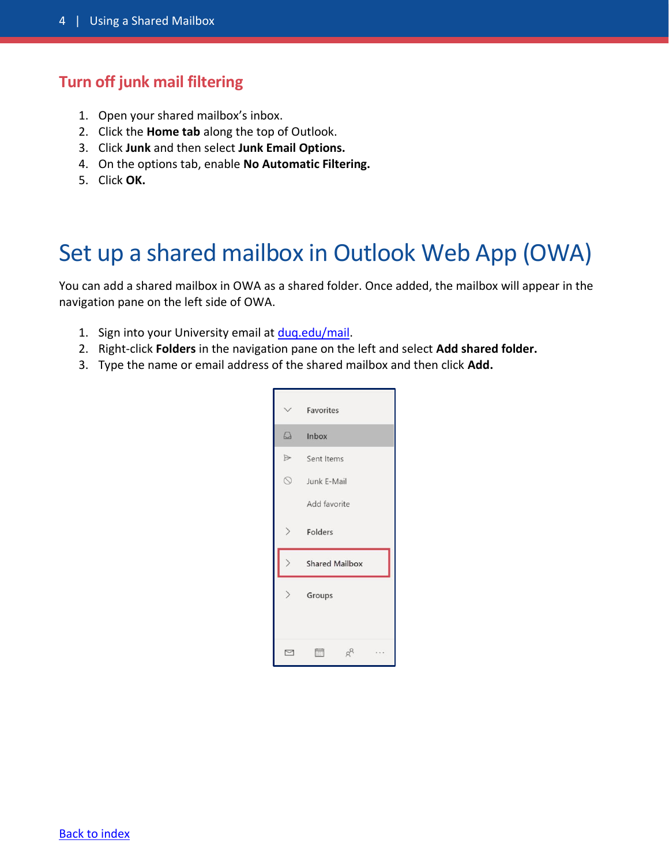#### **Turn off junk mail filtering**

- 1. Open your shared mailbox's inbox.
- 2. Click the **Home tab** along the top of Outlook.
- 3. Click **Junk** and then select **Junk Email Options.**
- 4. On the options tab, enable **No Automatic Filtering.**
- 5. Click **OK.**

### <span id="page-3-0"></span>Set up a shared mailbox in Outlook Web App (OWA)

You can add a shared mailbox in OWA as a shared folder. Once added, the mailbox will appear in the navigation pane on the left side of OWA.

- 1. Sign into your University email at [duq.edu/mail.](http://www.duq.edu/mail)
- 2. Right-click **Folders** in the navigation pane on the left and select **Add shared folder.**
- 3. Type the name or email address of the shared mailbox and then click **Add.**

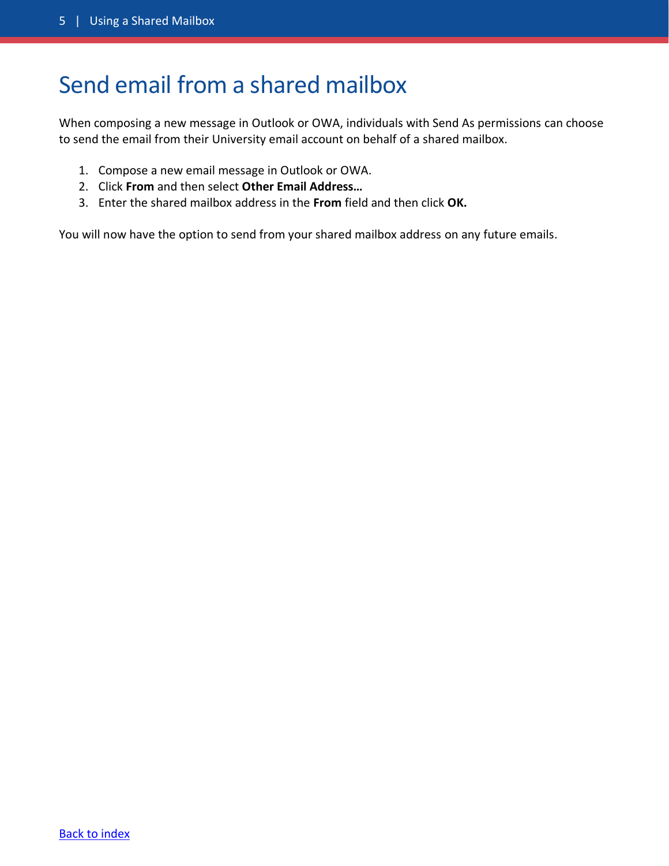### <span id="page-4-0"></span>Send email from a shared mailbox

When composing a new message in Outlook or OWA, individuals with Send As permissions can choose to send the email from their University email account on behalf of a shared mailbox.

- 1. Compose a new email message in Outlook or OWA.
- 2. Click **From** and then select **Other Email Address…**
- 3. Enter the shared mailbox address in the **From** field and then click **OK.**

<span id="page-4-1"></span>You will now have the option to send from your shared mailbox address on any future emails.